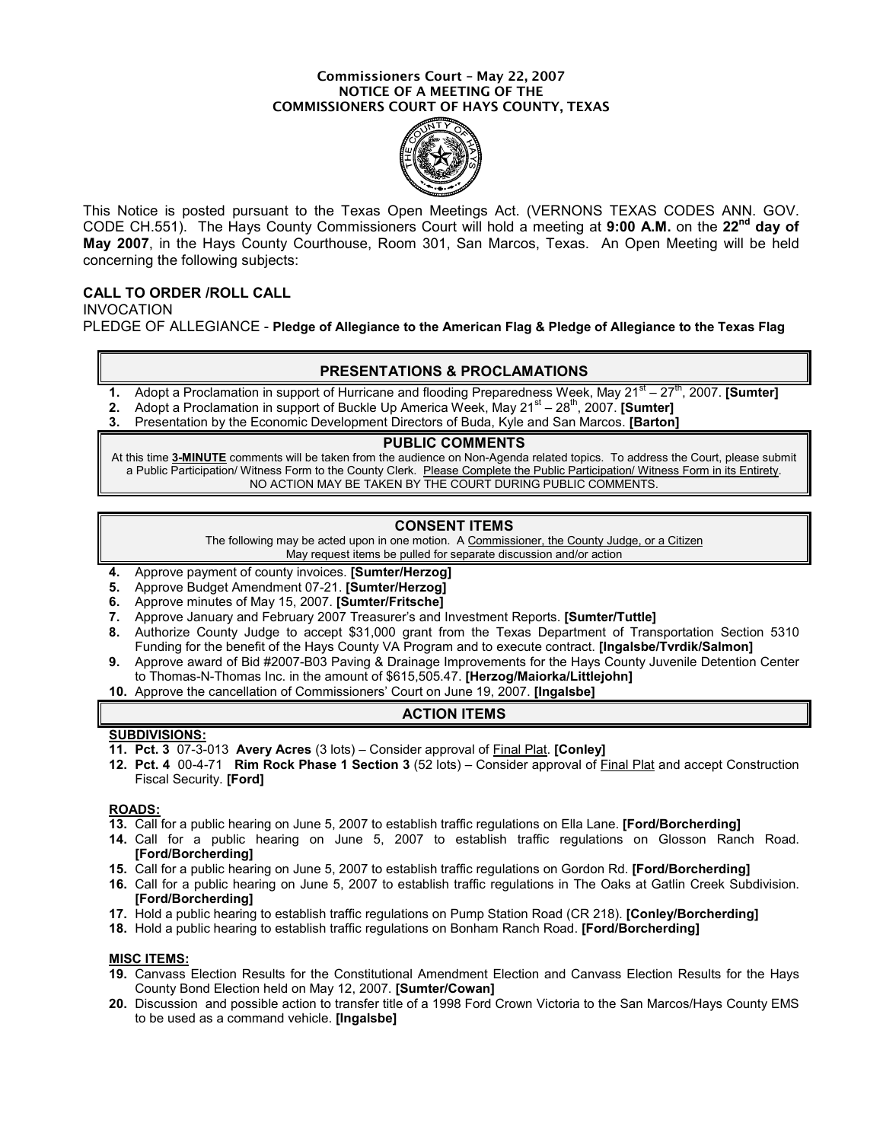#### Commissioners Court – May 22, 2007 NOTICE OF A MEETING OF THE COMMISSIONERS COURT OF HAYS COUNTY, TEXAS



This Notice is posted pursuant to the Texas Open Meetings Act. (VERNONS TEXAS CODES ANN. GOV. CODE CH.551). The Hays County Commissioners Court will hold a meeting at 9:00 A.M. on the 22<sup>nd</sup> day of May 2007, in the Hays County Courthouse, Room 301, San Marcos, Texas. An Open Meeting will be held concerning the following subjects:

# CALL TO ORDER /ROLL CALL

INVOCATION PLEDGE OF ALLEGIANCE - Pledge of Allegiance to the American Flag & Pledge of Allegiance to the Texas Flag

### PRESENTATIONS & PROCLAMATIONS

- 1. Adopt a Proclamation in support of Hurricane and flooding Preparedness Week, May 21 $^{st}$  27 $^{tn}$ , 2007. [Sumter]
- 2. Adopt a Proclamation in support of Buckle Up America Week, May  $21<sup>st</sup> 28<sup>th</sup>$ , 2007. **[Sumter]**
- 3. Presentation by the Economic Development Directors of Buda, Kyle and San Marcos. [Barton]

#### PUBLIC COMMENTS

At this time 3-MINUTE comments will be taken from the audience on Non-Agenda related topics. To address the Court, please submit a Public Participation/ Witness Form to the County Clerk. Please Complete the Public Participation/ Witness Form in its Entirety. NO ACTION MAY BE TAKEN BY THE COURT DURING PUBLIC COMMENTS.

## CONSENT ITEMS

The following may be acted upon in one motion. A Commissioner, the County Judge, or a Citizen May request items be pulled for separate discussion and/or action

- 4. Approve payment of county invoices. [Sumter/Herzog]
- 5. Approve Budget Amendment 07-21. [Sumter/Herzog]
- 6. Approve minutes of May 15, 2007. [Sumter/Fritsche]
- 7. Approve January and February 2007 Treasurer's and Investment Reports. [Sumter/Tuttle]
- 8. Authorize County Judge to accept \$31,000 grant from the Texas Department of Transportation Section 5310 Funding for the benefit of the Hays County VA Program and to execute contract. **[Ingalsbe/Tvrdik/Salmon]**
- 9. Approve award of Bid #2007-B03 Paving & Drainage Improvements for the Hays County Juvenile Detention Center to Thomas-N-Thomas Inc. in the amount of \$615,505.47. [Herzog/Maiorka/Littlejohn]
- 10. Approve the cancellation of Commissioners' Court on June 19, 2007. [Ingalsbe]

#### ACTION ITEMS

#### SUBDIVISIONS:

- 11. Pct. 3 07-3-013 Avery Acres (3 lots) Consider approval of Final Plat. [Conley]
- 12. Pct. 4 00-4-71 Rim Rock Phase 1 Section 3 (52 lots) Consider approval of Final Plat and accept Construction Fiscal Security. [Ford]

#### ROADS:

- 13. Call for a public hearing on June 5, 2007 to establish traffic regulations on Ella Lane. [Ford/Borcherding]
- 14. Call for a public hearing on June 5, 2007 to establish traffic regulations on Glosson Ranch Road. [Ford/Borcherding]
- 15. Call for a public hearing on June 5, 2007 to establish traffic regulations on Gordon Rd. [Ford/Borcherding]
- 16. Call for a public hearing on June 5, 2007 to establish traffic regulations in The Oaks at Gatlin Creek Subdivision. [Ford/Borcherding]
- 17. Hold a public hearing to establish traffic regulations on Pump Station Road (CR 218). [Conley/Borcherding]
- 18. Hold a public hearing to establish traffic regulations on Bonham Ranch Road. [Ford/Borcherding]

#### MISC ITEMS:

- 19. Canvass Election Results for the Constitutional Amendment Election and Canvass Election Results for the Hays County Bond Election held on May 12, 2007. [Sumter/Cowan]
- 20. Discussion and possible action to transfer title of a 1998 Ford Crown Victoria to the San Marcos/Hays County EMS to be used as a command vehicle. [Ingalsbe]